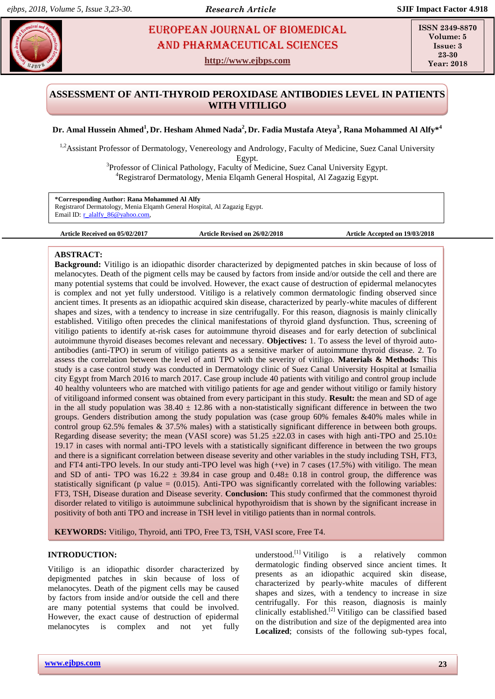# **Algebra 2018 • European Journal of Biomedical and Pharmaceutical Sciences** European Journal of Biomedical AND Pharmaceutical sciences

**http://www.ejbps.com**

**ISSN 2349-8870 Volume: 5 Issue: 3 23-30 Year: 2018**

# **ASSESSMENT OF ANTI-THYROID PEROXIDASE ANTIBODIES LEVEL IN PATIENTS WITH VITILIGO**

## **Dr. Amal Hussein Ahmed<sup>1</sup> , Dr. Hesham Ahmed Nada<sup>2</sup> , Dr. Fadia Mustafa Ateya<sup>3</sup> , Rana Mohammed Al Alfy\*<sup>4</sup>**

<sup>1,2</sup>Assistant Professor of Dermatology, Venereology and Andrology, Faculty of Medicine, Suez Canal University Egypt.

> <sup>3</sup>Professor of Clinical Pathology, Faculty of Medicine, Suez Canal University Egypt. <sup>4</sup>Registrarof Dermatology, Menia Elqamh General Hospital, Al Zagazig Egypt.

**\*Corresponding Author: Rana Mohammed Al Alfy** Registrarof Dermatology, Menia Elqamh General Hospital, Al Zagazig Egypt. Email ID: r\_alalfy\_86@yahoo.com,

**Article Received on 05/02/2017 Article Revised on 26/02/2018 Article Accepted on 19/03/2018**

## **ABSTRACT:**

**Background:** Vitiligo is an idiopathic disorder characterized by depigmented patches in skin because of loss of melanocytes. Death of the pigment cells may be caused by factors from inside and/or outside the cell and there are many potential systems that could be involved. However, the exact cause of destruction of epidermal melanocytes is complex and not yet fully understood. Vitiligo is a relatively common dermatologic finding observed since ancient times. It presents as an idiopathic acquired skin disease, characterized by pearly-white macules of different shapes and sizes, with a tendency to increase in size centrifugally. For this reason, diagnosis is mainly clinically established. Vitiligo often precedes the clinical manifestations of thyroid gland dysfunction. Thus, screening of vitiligo patients to identify at-risk cases for autoimmune thyroid diseases and for early detection of subclinical autoimmune thyroid diseases becomes relevant and necessary. **Objectives:** 1. To assess the level of thyroid autoantibodies (anti-TPO) in serum of vitiligo patients as a sensitive marker of autoimmune thyroid disease. 2. To assess the correlation between the level of anti TPO with the severity of vitiligo. **Materials & Methods:** This study is a case control study was conducted in Dermatology clinic of Suez Canal University Hospital at Ismailia city Egypt from March 2016 to march 2017. Case group include 40 patients with vitiligo and control group include 40 healthy volunteers who are matched with vitiligo patients for age and gender without vitiligo or family history of vitiligoand informed consent was obtained from every participant in this study. **Result:** the mean and SD of age in the all study population was  $38.40 \pm 12.86$  with a non-statistically significant difference in between the two groups. Genders distribution among the study population was (case group 60% females &40% males while in control group 62.5% females & 37.5% males) with a statistically significant difference in between both groups. Regarding disease severity; the mean (VASI score) was  $51.25 \pm 22.03$  in cases with high anti-TPO and  $25.10 \pm$ 19.17 in cases with normal anti-TPO levels with a statistically significant difference in between the two groups and there is a significant correlation between disease severity and other variables in the study including TSH, FT3, and FT4 anti-TPO levels. In our study anti-TPO level was high (+ve) in 7 cases (17.5%) with vitiligo. The mean and SD of anti- TPO was  $16.22 \pm 39.84$  in case group and  $0.48 \pm 0.18$  in control group, the difference was statistically significant (p value  $= (0.015)$ . Anti-TPO was significantly correlated with the following variables: FT3, TSH, Disease duration and Disease severity. **Conclusion:** This study confirmed that the commonest thyroid disorder related to vitiligo is autoimmune subclinical hypothyroidism that is shown by the significant increase in positivity of both anti TPO and increase in TSH level in vitiligo patients than in normal controls.

**KEYWORDS:** Vitiligo, Thyroid, anti TPO, Free T3, TSH, VASI score, Free T4.

## **INTRODUCTION:**

Vitiligo is an idiopathic disorder characterized by depigmented patches in skin because of loss of melanocytes. Death of the pigment cells may be caused by factors from inside and/or outside the cell and there are many potential systems that could be involved. However, the exact cause of destruction of epidermal melanocytes is complex and not yet fully

understood. $^{[1]}$  Vitiligo is a relatively common dermatologic finding observed since ancient times. It presents as an idiopathic acquired skin disease, characterized by pearly-white macules of different shapes and sizes, with a tendency to increase in size centrifugally. For this reason, diagnosis is mainly clinically established.[2] Vitiligo can be classified based on the distribution and size of the depigmented area into Localized; consists of the following sub-types focal,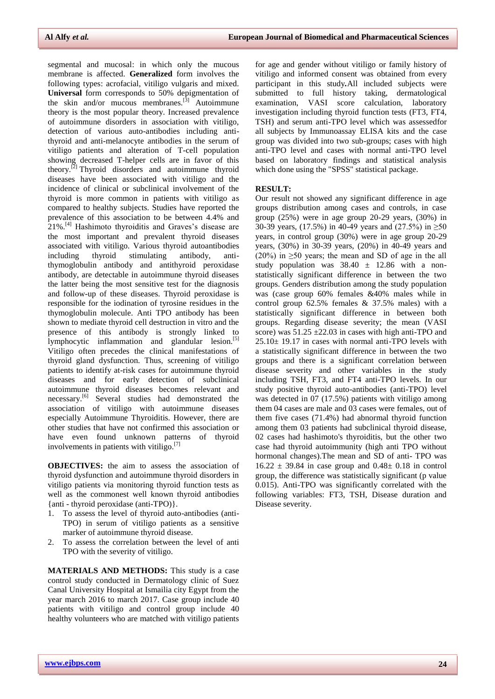segmental and mucosal: in which only the mucous membrane is affected. **Generalized** form involves the following types: acrofacial, vitiligo vulgaris and mixed. **Universal** form corresponds to 50% depigmentation of the skin and/or mucous membranes. $^{[3]}$  Autoimmune theory is the most popular theory. Increased prevalence of autoimmune disorders in association with vitiligo, detection of various auto-antibodies including antithyroid and anti-melanocyte antibodies in the serum of vitiligo patients and alteration of T-cell population showing decreased T-helper cells are in favor of this theory.[2] Thyroid disorders and autoimmune thyroid diseases have been associated with vitiligo and the incidence of clinical or subclinical involvement of the thyroid is more common in patients with vitiligo as compared to healthy subjects. Studies have reported the prevalence of this association to be between 4.4% and  $21\%$ .<sup>[4]</sup> Hashimoto thyroiditis and Graves's disease are the most important and prevalent thyroid diseases associated with vitiligo. Various thyroid autoantibodies including thyroid stimulating antibody, antithymoglobulin antibody and antithyroid peroxidase antibody, are detectable in autoimmune thyroid diseases the latter being the most sensitive test for the diagnosis and follow-up of these diseases. Thyroid peroxidase is responsible for the iodination of tyrosine residues in the thymoglobulin molecule. Anti TPO antibody has been shown to mediate thyroid cell destruction in vitro and the presence of this antibody is strongly linked to lymphocytic inflammation and glandular lesion.<sup>[5]</sup> Vitiligo often precedes the clinical manifestations of thyroid gland dysfunction. Thus, screening of vitiligo patients to identify at-risk cases for autoimmune thyroid diseases and for early detection of subclinical autoimmune thyroid diseases becomes relevant and necessary.<sup>[6]</sup> Several studies had demonstrated the association of vitiligo with autoimmune diseases especially Autoimmune Thyroiditis. However, there are other studies that have not confirmed this association or have even found unknown patterns of thyroid involvements in patients with vitiligo.<sup>[7]</sup>

**OBJECTIVES:** the aim to assess the association of thyroid dysfunction and autoimmune thyroid disorders in vitiligo patients via monitoring thyroid function tests as well as the commonest well known thyroid antibodies {anti - thyroid peroxidase (anti-TPO)}.

- 1. To assess the level of thyroid auto-antibodies (anti-TPO) in serum of vitiligo patients as a sensitive marker of autoimmune thyroid disease.
- 2. To assess the correlation between the level of anti TPO with the severity of vitiligo.

**MATERIALS AND METHODS:** This study is a case control study conducted in Dermatology clinic of Suez Canal University Hospital at Ismailia city Egypt from the year march 2016 to march 2017. Case group include 40 patients with vitiligo and control group include 40 healthy volunteers who are matched with vitiligo patients

for age and gender without vitiligo or family history of vitiligo and informed consent was obtained from every participant in this study*.*All included subjects were submitted to full history taking, dermatological examination, VASI score calculation, laboratory investigation including thyroid function tests (FT3, FT4, TSH) and serum anti-TPO level which was assessedfor all subjects by Immunoassay ELISA kits and the case group was divided into two sub-groups; cases with high anti-TPO level and cases with normal anti-TPO level based on laboratory findings and statistical analysis which done using the "SPSS" statistical package.

#### **RESULT:**

Our result not showed any significant difference in age groups distribution among cases and controls, in case group (25%) were in age group 20-29 years, (30%) in 30-39 years, (17.5%) in 40-49 years and (27.5%) in  $\geq 50$ years, in control group (30%) were in age group 20-29 years, (30%) in 30-39 years, (20%) in 40-49 years and (20%) in  $\geq$ 50 years; the mean and SD of age in the all study population was  $38.40 \pm 12.86$  with a nonstatistically significant difference in between the two groups. Genders distribution among the study population was (case group 60% females &40% males while in control group 62.5% females & 37.5% males) with a statistically significant difference in between both groups. Regarding disease severity; the mean (VASI score) was  $51.25 \pm 22.03$  in cases with high anti-TPO and  $25.10 \pm 19.17$  in cases with normal anti-TPO levels with a statistically significant difference in between the two groups and there is a significant correlation between disease severity and other variables in the study including TSH, FT3, and FT4 anti-TPO levels. In our study positive thyroid auto-antibodies (anti-TPO) level was detected in 07 (17.5%) patients with vitiligo among them 04 cases are male and 03 cases were females, out of them five cases (71.4%) had abnormal thyroid function among them 03 patients had subclinical thyroid disease, 02 cases had hashimoto's thyroiditis, but the other two case had thyroid autoimmunity (high anti TPO without hormonal changes).The mean and SD of anti- TPO was  $16.22 \pm 39.84$  in case group and  $0.48 \pm 0.18$  in control group, the difference was statistically significant (p value 0.015). Anti-TPO was significantly correlated with the following variables: FT3, TSH, Disease duration and Disease severity.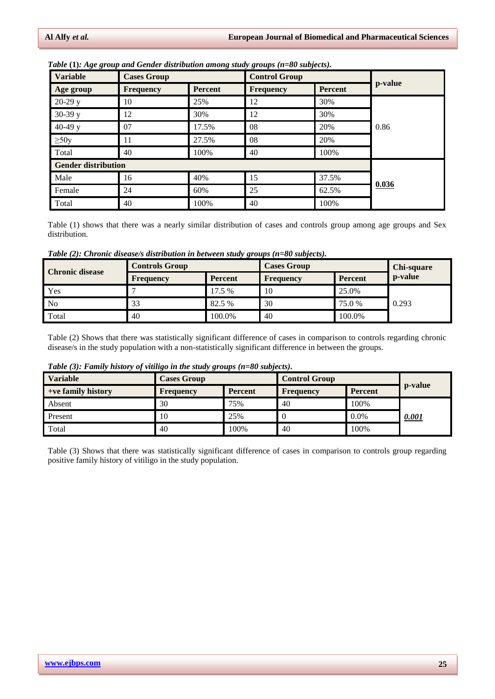| <b>Variable</b>            | <b>Cases Group</b> |                | <b>Control Group</b> |         |         |
|----------------------------|--------------------|----------------|----------------------|---------|---------|
| Age group                  | <b>Frequency</b>   | <b>Percent</b> | <b>Frequency</b>     | Percent | p-value |
| $20-29y$                   | 10                 | 25%            | 12                   | 30%     |         |
| $30-39y$                   | 12                 | 30%            | 12                   | 30%     |         |
| 40-49 $y$                  | 07                 | 17.5%          | 08                   | 20%     | 0.86    |
| $\geq 50y$                 | 11                 | 27.5%          | 08                   | 20%     |         |
| Total                      | 40                 | 100%           | 40                   | 100%    |         |
| <b>Gender distribution</b> |                    |                |                      |         |         |
| Male                       | 16                 | 40%            | 15                   | 37.5%   |         |
| Female                     | 24                 | 60%            | 25                   | 62.5%   | 0.036   |
| Total                      | 40                 | 100%           | 40                   | 100%    |         |

*Table* **(1)***: Age group and Gender distribution among study groups (n=80 subjects).*

Table (1) shows that there was a nearly similar distribution of cases and controls group among age groups and Sex distribution.

*Table (2): Chronic disease/s distribution in between study groups (n=80 subjects).*

| <b>Chronic disease</b> | <b>Controls Group</b> |                | <b>Cases Group</b> | <b>Chi-square</b> |         |
|------------------------|-----------------------|----------------|--------------------|-------------------|---------|
|                        | Frequency             | <b>Percent</b> | Frequency          | <b>Percent</b>    | p-value |
| Yes                    |                       | 17.5 %         | 10                 | 25.0%             |         |
| No.                    | 33                    | 82.5 %         | 30                 | 75.0 %            | 0.293   |
| Total                  | 40                    | 100.0%         | 40                 | 100.0%            |         |

Table (2) Shows that there was statistically significant difference of cases in comparison to controls regarding chronic disease/s in the study population with a non-statistically significant difference in between the groups.

| Table (3): Family history of vitiligo in the study groups (n=80 subjects). |  |  |  |  |  |  |  |  |  |  |
|----------------------------------------------------------------------------|--|--|--|--|--|--|--|--|--|--|
|----------------------------------------------------------------------------|--|--|--|--|--|--|--|--|--|--|

| <b>Variable</b>    | <b>Cases Group</b> |                | <b>Control Group</b> |         |         |
|--------------------|--------------------|----------------|----------------------|---------|---------|
| +ve family history | <b>Frequency</b>   | <b>Percent</b> | Frequency            | Percent | p-value |
| Absent             | 30                 | 75%            | 40                   | 100%    |         |
| Present            | 10                 | 25%            |                      | $0.0\%$ | 0.001   |
| Total              | 40                 | 100%           | 40                   | 100%    |         |

Table (3) Shows that there was statistically significant difference of cases in comparison to controls group regarding positive family history of vitiligo in the study population.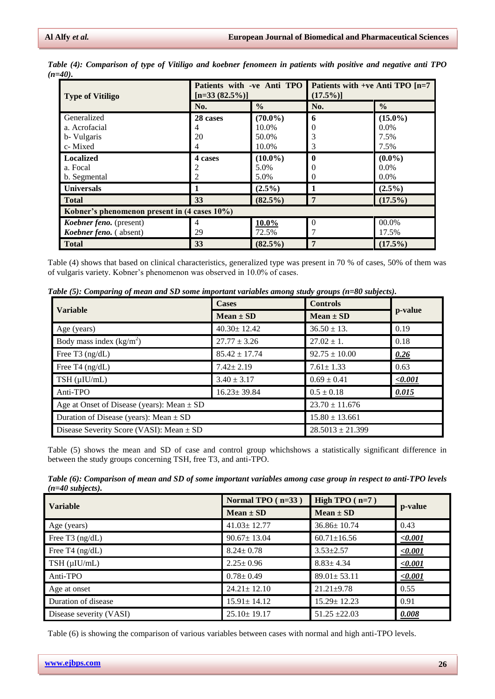| <b>Type of Vitiligo</b>                      | Patients with -ve Anti TPO<br>$[n=33 (82.5\%)]$ |               | Patients with +ve Anti TPO $[n=7]$<br>$(17.5\%)$ |               |  |  |  |
|----------------------------------------------|-------------------------------------------------|---------------|--------------------------------------------------|---------------|--|--|--|
|                                              | No.                                             | $\frac{0}{0}$ | No.                                              | $\frac{0}{0}$ |  |  |  |
| Generalized                                  | 28 cases                                        | $(70.0\%)$    | 6                                                | $(15.0\%)$    |  |  |  |
| a. Acrofacial                                | 4                                               | 10.0%         |                                                  | $0.0\%$       |  |  |  |
| b- Vulgaris                                  | 20                                              | 50.0%         |                                                  | 7.5%          |  |  |  |
| c-Mixed                                      | 4                                               | 10.0%         | 3                                                | 7.5%          |  |  |  |
| <b>Localized</b>                             | 4 cases                                         | $(10.0\%)$    | 0                                                | $(0.0\%)$     |  |  |  |
| a. Focal                                     |                                                 | 5.0%          |                                                  | $0.0\%$       |  |  |  |
| b. Segmental                                 |                                                 | 5.0%          |                                                  | $0.0\%$       |  |  |  |
| <b>Universals</b>                            |                                                 | $(2.5\%)$     |                                                  | $(2.5\%)$     |  |  |  |
| <b>Total</b>                                 | 33                                              | $(82.5\%)$    | 7                                                | $(17.5\%)$    |  |  |  |
| Kobner's phenomenon present in (4 cases 10%) |                                                 |               |                                                  |               |  |  |  |
| Koebner feno. (present)                      | 4                                               | $10.0\%$      |                                                  | 00.0%         |  |  |  |
| Koebner feno. (absent)                       | 29                                              | 72.5%         |                                                  | 17.5%         |  |  |  |
| <b>Total</b>                                 | 33                                              | $(82.5\%)$    | $\overline{7}$                                   | $(17.5\%)$    |  |  |  |

*Table (4): Comparison of type of Vitiligo and koebner fenomeen in patients with positive and negative anti TPO (n=40).*

Table (4) shows that based on clinical characteristics, generalized type was present in 70 % of cases, 50% of them was of vulgaris variety. Kobner's phenomenon was observed in 10.0% of cases.

| <b>Variable</b>                                | <b>Cases</b>       | <b>Controls</b>      |             |  |
|------------------------------------------------|--------------------|----------------------|-------------|--|
|                                                | $Mean \pm SD$      | $Mean \pm SD$        | p-value     |  |
| Age (years)                                    | $40.30 \pm 12.42$  | $36.50 \pm 13$ .     | 0.19        |  |
| Body mass index $(kg/m2)$                      | $27.77 \pm 3.26$   | $27.02 \pm 1.$       | 0.18        |  |
| Free T3 $(ng/dL)$                              | $85.42 \pm 17.74$  | $92.75 \pm 10.00$    | 0.26        |  |
| Free T4 $(ng/dL)$                              | $7.42 \pm 2.19$    | $7.61 \pm 1.33$      | 0.63        |  |
| $3.40 \pm 3.17$<br>$TSH$ ( $\mu$ IU/mL)        |                    | $0.69 \pm 0.41$      | $\le 0.001$ |  |
| Anti-TPO<br>$16.23 \pm 39.84$                  |                    | $0.5 \pm 0.18$       | 0.015       |  |
| Age at Onset of Disease (years): Mean $\pm$ SD | $23.70 \pm 11.676$ |                      |             |  |
| Duration of Disease (years): Mean $\pm$ SD     | $15.80 \pm 13.661$ |                      |             |  |
| Disease Severity Score (VASI): Mean $\pm$ SD   |                    | $28.5013 \pm 21.399$ |             |  |

Table (5) shows the mean and SD of case and control group whichshows a statistically significant difference in between the study groups concerning TSH, free T3, and anti-TPO.

*Table (6): Comparison of mean and SD of some important variables among case group in respect to anti-TPO levels (n=40 subjects).*

| <b>Variable</b>         | Normal TPO $(n=33)$ | High TPO $(n=7)$  |             |
|-------------------------|---------------------|-------------------|-------------|
|                         | $Mean \pm SD$       | $Mean \pm SD$     | p-value     |
| Age (years)             | $41.03 \pm 12.77$   | $36.86 \pm 10.74$ | 0.43        |
| Free T3 $(ng/dL)$       | $90.67 \pm 13.04$   | $60.71 \pm 16.56$ | $\le 0.001$ |
| Free T4 $(ng/dL)$       | $8.24 \pm 0.78$     | $3.53 \pm 2.57$   | $\le 0.001$ |
| $TSH$ ( $\mu$ IU/mL)    | $2.25 \pm 0.96$     | $8.83 \pm 4.34$   | $\le 0.001$ |
| Anti-TPO                | $0.78 \pm 0.49$     | $89.01 \pm 53.11$ | $\le 0.001$ |
| Age at onset            | $24.21 \pm 12.10$   | $21.21 \pm 9.78$  | 0.55        |
| Duration of disease     | $15.91 \pm 14.12$   | $15.29 \pm 12.23$ | 0.91        |
| Disease severity (VASI) | $25.10 \pm 19.17$   | $51.25 \pm 22.03$ | 0.008       |

Table (6) is showing the comparison of various variables between cases with normal and high anti-TPO levels.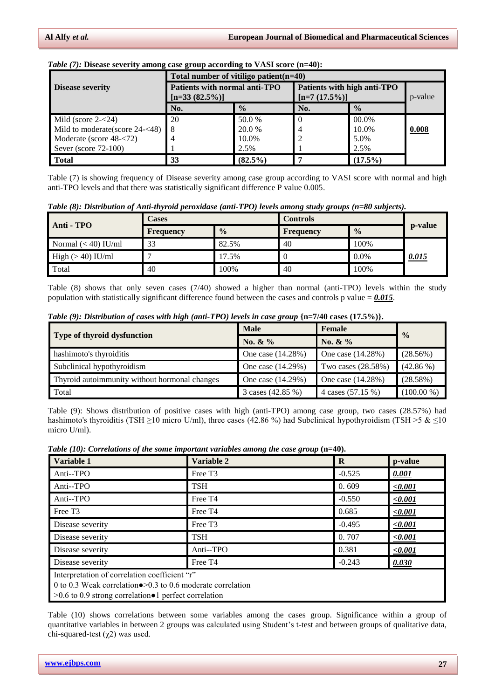|                                | Total number of vitiligo patient $(n=40)$          |               |                                                 |               |       |  |  |  |
|--------------------------------|----------------------------------------------------|---------------|-------------------------------------------------|---------------|-------|--|--|--|
| <b>Disease severity</b>        | Patients with normal anti-TPO<br>$[n=33 (82.5\%)]$ |               | Patients with high anti-TPO<br>$[n=7 (17.5\%)]$ | p-value       |       |  |  |  |
|                                | No.                                                | $\frac{0}{0}$ | No.                                             | $\frac{0}{0}$ |       |  |  |  |
| Mild (score $2 - 24$ )         | 20                                                 | 50.0 %        |                                                 | 00.0%         |       |  |  |  |
| Mild to moderate(score 24-<48) | 8                                                  | 20.0 %        |                                                 | 10.0%         | 0.008 |  |  |  |
| Moderate (score 48-<72)        |                                                    | 10.0%         |                                                 | 5.0%          |       |  |  |  |
| Sever (score $72-100$ )        |                                                    | 2.5%          |                                                 | 2.5%          |       |  |  |  |
| <b>Total</b>                   | 33                                                 | $(82.5\%)$    |                                                 | $(17.5\%)$    |       |  |  |  |

#### *Table (7):* Disease severity among case group according to VASI score (n=40):

Table (7) is showing frequency of Disease severity among case group according to VASI score with normal and high anti-TPO levels and that there was statistically significant difference P value 0.005.

| Table (8): Distribution of Anti-thyroid peroxidase (anti-TPO) levels among study groups (n=80 subjects). |  |  |  |  |  |  |  |  |  |
|----------------------------------------------------------------------------------------------------------|--|--|--|--|--|--|--|--|--|
|----------------------------------------------------------------------------------------------------------|--|--|--|--|--|--|--|--|--|

| Anti - TPO            | <b>Cases</b>     |               | <b>Controls</b>  |               |         |  |
|-----------------------|------------------|---------------|------------------|---------------|---------|--|
|                       | <b>Frequency</b> | $\frac{0}{0}$ | <b>Frequency</b> | $\frac{0}{0}$ | p-value |  |
| Normal $(< 40)$ IU/ml | 33               | 82.5%         | 40               | 100%          |         |  |
| High $(>40)$ IU/ml    |                  | 17.5%         |                  | $0.0\%$       | 0.015   |  |
| Total                 | 40               | 100%          | 40               | 100%          |         |  |

Table (8) shows that only seven cases (7/40) showed a higher than normal (anti-TPO) levels within the study population with statistically significant difference found between the cases and controls p value  $= 0.015$ .

|                                               | <b>Male</b>       | Female             | $\frac{0}{0}$ |  |
|-----------------------------------------------|-------------------|--------------------|---------------|--|
| Type of thyroid dysfunction                   | No. & %           | No. $\&\%$         |               |  |
| hashimoto's thyroiditis                       | One case (14.28%) | One case (14.28%)  | (28.56%)      |  |
| Subclinical hypothyroidism                    | One case (14.29%) | Two cases (28.58%) | $(42.86\%)$   |  |
| Thyroid autoimmunity without hormonal changes | One case (14.29%) | One case (14.28%)  | (28.58%)      |  |
| Total                                         | 3 cases (42.85 %) | 4 cases (57.15 %)  | $(100.00\%)$  |  |

Table (9): Shows distribution of positive cases with high (anti-TPO) among case group, two cases (28.57%) had hashimoto's thyroiditis (TSH ≥10 micro U/ml), three cases (42.86 %) had Subclinical hypothyroidism (TSH >5  $\&$  ≤10 micro U/ml).

|  | Table (10): Correlations of the some important variables among the case group $(n=40)$ . |  |  |  |  |
|--|------------------------------------------------------------------------------------------|--|--|--|--|
|  |                                                                                          |  |  |  |  |

| Variable 1                                                                                                                                                                                | Variable 2          | $\bf{R}$ | p-value     |  |  |  |
|-------------------------------------------------------------------------------------------------------------------------------------------------------------------------------------------|---------------------|----------|-------------|--|--|--|
| Anti--TPO                                                                                                                                                                                 | Free T <sub>3</sub> | $-0.525$ | 0.001       |  |  |  |
| Anti--TPO                                                                                                                                                                                 | <b>TSH</b>          | 0.609    | < 0.001     |  |  |  |
| Anti--TPO                                                                                                                                                                                 | Free T <sub>4</sub> | $-0.550$ | $\le 0.001$ |  |  |  |
| Free T <sub>3</sub>                                                                                                                                                                       | Free T <sub>4</sub> | 0.685    | $\le 0.001$ |  |  |  |
| Disease severity                                                                                                                                                                          | Free T <sub>3</sub> | $-0.495$ | $\le 0.001$ |  |  |  |
| Disease severity                                                                                                                                                                          | <b>TSH</b>          | 0.707    | < 0.001     |  |  |  |
| Disease severity                                                                                                                                                                          | Anti--TPO           | 0.381    | < 0.001     |  |  |  |
| Disease severity                                                                                                                                                                          | Free T <sub>4</sub> | $-0.243$ | 0.030       |  |  |  |
| Interpretation of correlation coefficient "r"<br>0 to 0.3 Weak correlation $\bullet$ >0.3 to 0.6 moderate correlation<br>$>0.6$ to 0.9 strong correlation $\bullet$ 1 perfect correlation |                     |          |             |  |  |  |

Table (10) shows correlations between some variables among the cases group. Significance within a group of quantitative variables in between 2 groups was calculated using Student's t-test and between groups of qualitative data, chi-squared-test  $(χ2)$  was used.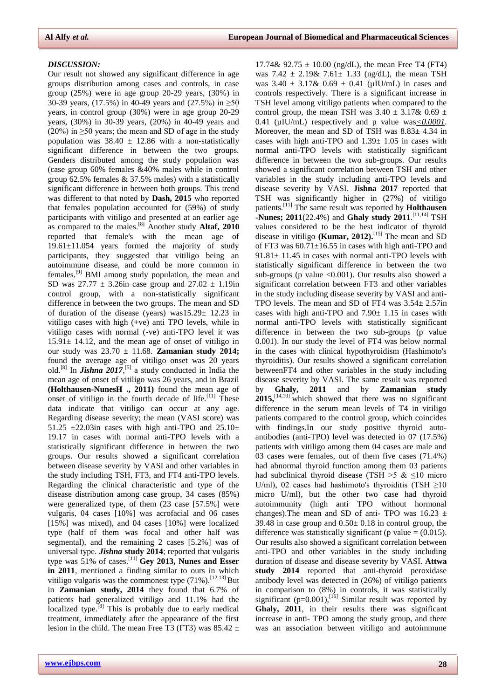17.74&  $92.75 \pm 10.00$  (ng/dL), the mean Free T4 (FT4)

#### *DISCUSSION:*

Our result not showed any significant difference in age groups distribution among cases and controls, in case group (25%) were in age group 20-29 years, (30%) in 30-39 years, (17.5%) in 40-49 years and (27.5%) in ≥50 years, in control group (30%) were in age group 20-29 years, (30%) in 30-39 years, (20%) in 40-49 years and (20%) in  $\geq$ 50 years; the mean and SD of age in the study population was  $38.40 \pm 12.86$  with a non-statistically significant difference in between the two groups. Genders distributed among the study population was (case group 60% females &40% males while in control group 62.5% females & 37.5% males) with a statistically significant difference in between both groups. This trend was different to that noted by **Dash, 2015** who reported that females population accounted for (59%) of study participants with vitiligo and presented at an earlier age as compared to the males. [8] Another study **Altaf, 2010** reported that female's with the mean age of 19.61±11.054 years formed the majority of study participants, they suggested that vitiligo being an autoimmune disease, and could be more common in females.[9] BMI among study population, the mean and SD was  $27.77 \pm 3.26$ in case group and  $27.02 \pm 1.19$ in control group, with a non-statistically significant difference in between the two groups. The mean and SD of duration of the disease (years) was15.29± 12.23 in vitiligo cases with high (+ve) anti TPO levels, while in vitiligo cases with normal (-ve) anti-TPO level it was  $15.91 \pm 14.12$ , and the mean age of onset of vitiligo in our study was 23.70 ± 11.68. **Zamanian study 2014;** found the average age of vitiligo onset was 20 years old.<sup>[8]</sup> In *Jishna* 2017,<sup>[5]</sup> a study conducted in India the mean age of onset of vitiligo was 26 years, and in Brazil **(Holthausen-NunesH ., 2011)** found the mean age of onset of vitiligo in the fourth decade of life.<sup>[11]</sup> These data indicate that vitiligo can occur at any age. Regarding disease severity; the mean (VASI score) was 51.25  $\pm$ 22.03in cases with high anti-TPO and 25.10 $\pm$ 19.17 in cases with normal anti-TPO levels with a statistically significant difference in between the two groups. Our results showed a significant correlation between disease severity by VASI and other variables in the study including TSH, FT3, and FT4 anti-TPO levels. Regarding the clinical characteristic and type of the disease distribution among case group, 34 cases (85%) were generalized type, of them (23 case [57.5%] were vulgaris, 04 cases [10%] was acrofacial and 06 cases [15%] was mixed), and 04 cases [10%] were localized type (half of them was focal and other half was segmental), and the remaining 2 cases [5.2%] was of universal type. *Jishna* **study 2014**; reported that vulgaris type was 51% of cases.[11] **Gey 2013, Nunes and Esser in 2011**, mentioned a finding similar to ours in which vitiligo vulgaris was the commonest type  $(71\%)$ . [12,13] But in **Zamanian study, 2014** they found that 6.7% of patients had generalized vitiligo and 11.1% had the localized type.<sup>[8]</sup> This is probably due to early medical treatment, immediately after the appearance of the first lesion in the child. The mean Free T3 (FT3) was  $85.42 \pm$ 

was  $7.42 \pm 2.19 \& 7.61 \pm 1.33$  (ng/dL), the mean TSH was  $3.40 \pm 3.17\& 0.69 \pm 0.41$  (µIU/mL) in cases and controls respectively. There is a significant increase in TSH level among vitiligo patients when compared to the control group, the mean TSH was  $3.40 \pm 3.17$ &  $0.69 \pm 1.5$ 0.41 (µIU/mL) respectively and p value was*<0.0001*. Moreover, the mean and SD of TSH was 8.83± 4.34 in cases with high anti-TPO and 1.39± 1.05 in cases with normal anti-TPO levels with statistically significant difference in between the two sub-groups. Our results showed a significant correlation between TSH and other variables in the study including anti-TPO levels and disease severity by VASI. **Jishna 2017** reported that TSH was significantly higher in (27%) of vitiligo patients.[11] The same result was reported by **Holthausen -Nunes; 2011**(22.4%) and **Ghaly study 2011**. [11,14] TSH values considered to be the best indicator of thyroid disease in vitiligo **(Kumar, 2012).**[15] The mean and SD of FT3 was  $60.71 \pm 16.55$  in cases with high anti-TPO and  $91.81 \pm 11.45$  in cases with normal anti-TPO levels with statistically significant difference in between the two sub-groups (p value  $\langle 0.001 \rangle$ ). Our results also showed a significant correlation between FT3 and other variables in the study including disease severity by VASI and anti-TPO levels. The mean and SD of FT4 was  $3.54 \pm 2.57$ in cases with high anti-TPO and 7.90± 1.15 in cases with normal anti-TPO levels with statistically significant difference in between the two sub-groups (p value 0.001). In our study the level of FT4 was below normal in the cases with clinical hypothyroidism (Hashimoto's thyroiditis). Our results showed a significant correlation betweenFT4 and other variables in the study including disease severity by VASI. The same result was reported by **Ghaly, 2011** and by **Zamanian study 2015,**[14,10] which showed that there was no significant difference in the serum mean levels of T4 in vitiligo patients compared to the control group, which coincides with findings.In our study positive thyroid autoantibodies (anti-TPO) level was detected in 07 (17.5%) patients with vitiligo among them 04 cases are male and 03 cases were females, out of them five cases (71.4%) had abnormal thyroid function among them 03 patients had subclinical thyroid disease (TSH  $>5 \& 10$  micro U/ml), 02 cases had hashimoto's thyroiditis (TSH  $\geq$ 10 micro U/ml), but the other two case had thyroid autoimmunity (high anti TPO without hormonal changes). The mean and SD of anti- TPO was  $16.23 \pm$ 39.48 in case group and  $0.50 \pm 0.18$  in control group, the difference was statistically significant (p value  $= (0.015)$ . Our results also showed a significant correlation between anti-TPO and other variables in the study including duration of disease and disease severity by VASI. **Attwa study 2014** reported that anti-thyroid peroxidase antibody level was detected in (26%) of vitiligo patients in comparison to (8%) in controls, it was statistically significant  $(p=0.001)$ , <sup>[16]</sup> Similar result was reported by **Ghaly, 2011**, in their results there was significant increase in anti- TPO among the study group, and there was an association between vitiligo and autoimmune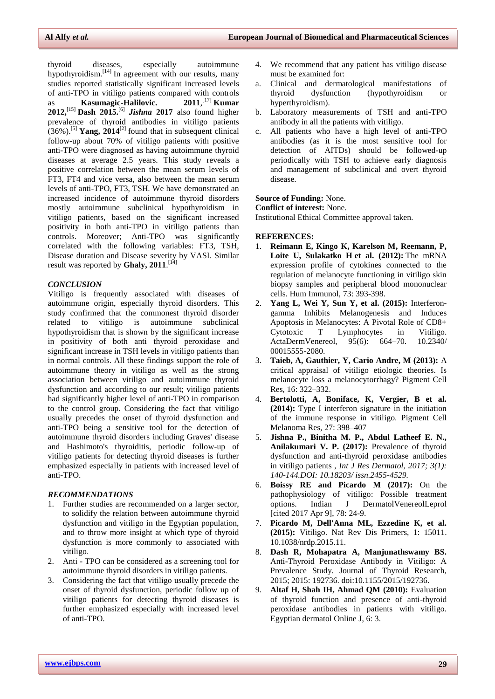thyroid diseases, especially autoimmune hypothyroidism.[14] In agreement with our results, many studies reported statistically significant increased levels of anti-TPO in vitiligo patients compared with controls as **Kasumagic-Halilovic.** 2011,<sup>[17]</sup> **Kumar 2012,**[15] **Dash 2015.**[6] *Jishna* **2017** also found higher prevalence of thyroid antibodies in vitiligo patients  $(36\%)$ .<sup>[5]</sup> **Yang, 2014**<sup>[2]</sup> found that in subsequent clinical follow-up about 70% of vitiligo patients with positive anti-TPO were diagnosed as having autoimmune thyroid diseases at average 2.5 years. This study reveals a positive correlation between the mean serum levels of FT3, FT4 and vice versa, also between the mean serum levels of anti-TPO, FT3, TSH. We have demonstrated an increased incidence of autoimmune thyroid disorders mostly autoimmune subclinical hypothyroidism in vitiligo patients, based on the significant increased positivity in both anti-TPO in vitiligo patients than controls. Moreover; Anti-TPO was significantly correlated with the following variables: FT3, TSH, Disease duration and Disease severity by VASI. Similar result was reported by **Ghaly, 2011**. [14]

### *CONCLUSION*

Vitiligo is frequently associated with diseases of autoimmune origin, especially thyroid disorders. This study confirmed that the commonest thyroid disorder related to vitiligo is autoimmune subclinical hypothyroidism that is shown by the significant increase in positivity of both anti thyroid peroxidase and significant increase in TSH levels in vitiligo patients than in normal controls. All these findings support the role of autoimmune theory in vitiligo as well as the strong association between vitiligo and autoimmune thyroid dysfunction and according to our result; vitiligo patients had significantly higher level of anti-TPO in comparison to the control group. Considering the fact that vitiligo usually precedes the onset of thyroid dysfunction and anti-TPO being a sensitive tool for the detection of autoimmune thyroid disorders including Graves' disease and Hashimoto's thyroiditis, periodic follow-up of vitiligo patients for detecting thyroid diseases is further emphasized especially in patients with increased level of anti-TPO.

### *RECOMMENDATIONS*

- 1. Further studies are recommended on a larger sector, to solidify the relation between autoimmune thyroid dysfunction and vitiligo in the Egyptian population, and to throw more insight at which type of thyroid dysfunction is more commonly to associated with vitiligo.
- 2. Anti TPO can be considered as a screening tool for autoimmune thyroid disorders in vitiligo patients.
- 3. Considering the fact that vitiligo usually precede the onset of thyroid dysfunction, periodic follow up of vitiligo patients for detecting thyroid diseases is further emphasized especially with increased level of anti-TPO.
- 4. We recommend that any patient has vitiligo disease must be examined for:
- a. Clinical and dermatological manifestations of thyroid dysfunction (hypothyroidism or hyperthyroidism).
- b. Laboratory measurements of TSH and anti-TPO antibody in all the patients with vitiligo.
- c. All patients who have a high level of anti-TPO antibodies (as it is the most sensitive tool for detection of AITDs) should be followed-up periodically with TSH to achieve early diagnosis and management of subclinical and overt thyroid disease.

#### **Source of Funding:** None.

**Conflict of interest:** None.

Institutional Ethical Committee approval taken.

#### **REFERENCES:**

- 1. **Reimann E, Kingo K, Karelson M, Reemann, P, Loite U, Sulakatko H et al. (2012):** The mRNA expression profile of cytokines connected to the regulation of melanocyte functioning in vitiligo skin biopsy samples and peripheral blood mononuclear cells. Hum Immunol, 73: 393-398.
- 2. **Yang L, Wei Y, Sun Y, et al. (2015):** Interferongamma Inhibits Melanogenesis and Induces Apoptosis in Melanocytes: A Pivotal Role of CD8+ Cytotoxic T Lymphocytes in Vitiligo. ActaDermVenereol, 95(6): 664–70. 10.2340/ 00015555-2080.
- 3. **Taieb, A, Gauthier, Y, Cario Andre, M (2013):** A critical appraisal of vitiligo etiologic theories. Is melanocyte loss a melanocytorrhagy? Pigment Cell Res, 16: 322–332.
- 4. **Bertolotti, A, Boniface, K, Vergier, B et al. (2014):** Type I interferon signature in the initiation of the immune response in vitiligo. Pigment Cell Melanoma Res, 27: 398–407
- 5. **Jishna P., Binitha M. P., Abdul Latheef E. N., Anilakumari V. P. (2017):** Prevalence of thyroid dysfunction and anti-thyroid peroxidase antibodies in vitiligo patients , *Int J Res Dermatol, 2017; 3(1): 140-144.DOI: 10.18203/ issn.2455-4529.*
- 6. **Boissy RE and Picardo M (2017):** On the pathophysiology of vitiligo: Possible treatment options. Indian J DermatolVenereolLeprol [cited 2017 Apr 9], 78: 24-9.
- 7. **Picardo M, Dell'Anna ML, Ezzedine K, et al. (2015):** Vitiligo. Nat Rev Dis Primers, 1: 15011. 10.1038/nrdp.2015.11.
- 8. **Dash R, Mohapatra A, Manjunathswamy BS.** Anti-Thyroid Peroxidase Antibody in Vitiligo: A Prevalence Study. Journal of Thyroid Research, 2015; 2015: 192736. doi:10.1155/2015/192736.
- 9. **Altaf H, Shah IH, Ahmad QM (2010):** Evaluation of thyroid function and presence of anti-thyroid peroxidase antibodies in patients with vitiligo. Egyptian dermatol Online J, 6: 3.